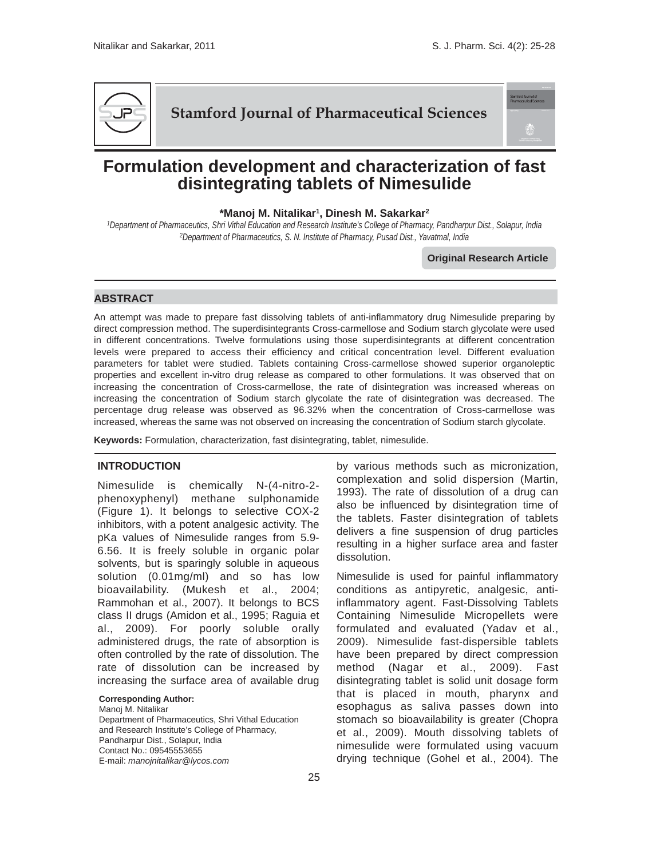.<br>Stamford Journal of<br>Pharmaceutical Scier



# **Stamford Journal of Pharmaceutical Sciences**

# **Formulation development and characterization of fast disintegrating tablets of Nimesulide**

# **\*Manoj M. Nitalikar1, Dinesh M. Sakarkar2**

*1Department of Pharmaceutics, Shri Vithal Education and Research Institute's College of Pharmacy, Pandharpur Dist., Solapur, India 2Department of Pharmaceutics, S. N. Institute of Pharmacy, Pusad Dist., Yavatmal, India*

**Original Research Article**

## **ABSTRACT**

An attempt was made to prepare fast dissolving tablets of anti-inflammatory drug Nimesulide preparing by direct compression method. The superdisintegrants Cross-carmellose and Sodium starch glycolate were used in different concentrations. Twelve formulations using those superdisintegrants at different concentration levels were prepared to access their efficiency and critical concentration level. Different evaluation parameters for tablet were studied. Tablets containing Cross-carmellose showed superior organoleptic properties and excellent in-vitro drug release as compared to other formulations. It was observed that on increasing the concentration of Cross-carmellose, the rate of disintegration was increased whereas on increasing the concentration of Sodium starch glycolate the rate of disintegration was decreased. The percentage drug release was observed as 96.32% when the concentration of Cross-carmellose was increased, whereas the same was not observed on increasing the concentration of Sodium starch glycolate.

**Keywords:** Formulation, characterization, fast disintegrating, tablet, nimesulide.

#### **INTRODUCTION**

Nimesulide is chemically N-(4-nitro-2 phenoxyphenyl) methane sulphonamide (Figure 1). It belongs to selective COX-2 inhibitors, with a potent analgesic activity. The pKa values of Nimesulide ranges from 5.9- 6.56. It is freely soluble in organic polar solvents, but is sparingly soluble in aqueous solution (0.01mg/ml) and so has low bioavailability. (Mukesh et al., 2004; Rammohan et al., 2007). It belongs to BCS class II drugs (Amidon et al., 1995; Raguia et al., 2009). For poorly soluble orally administered drugs, the rate of absorption is often controlled by the rate of dissolution. The rate of dissolution can be increased by increasing the surface area of available drug

**Corresponding Author:**

Manoj M. Nitalikar Department of Pharmaceutics, Shri Vithal Education and Research Institute's College of Pharmacy, Pandharpur Dist., Solapur, India Contact No.: 09545553655 E-mail: *manojnitalikar@lycos.com*

by various methods such as micronization, complexation and solid dispersion (Martin, 1993). The rate of dissolution of a drug can also be influenced by disintegration time of the tablets. Faster disintegration of tablets delivers a fine suspension of drug particles resulting in a higher surface area and faster dissolution.

Nimesulide is used for painful inflammatory conditions as antipyretic, analgesic, antiinflammatory agent. Fast-Dissolving Tablets Containing Nimesulide Micropellets were formulated and evaluated (Yadav et al., 2009). Nimesulide fast-dispersible tablets have been prepared by direct compression method (Nagar et al., 2009). Fast disintegrating tablet is solid unit dosage form that is placed in mouth, pharynx and esophagus as saliva passes down into stomach so bioavailability is greater (Chopra et al., 2009). Mouth dissolving tablets of nimesulide were formulated using vacuum drying technique (Gohel et al., 2004). The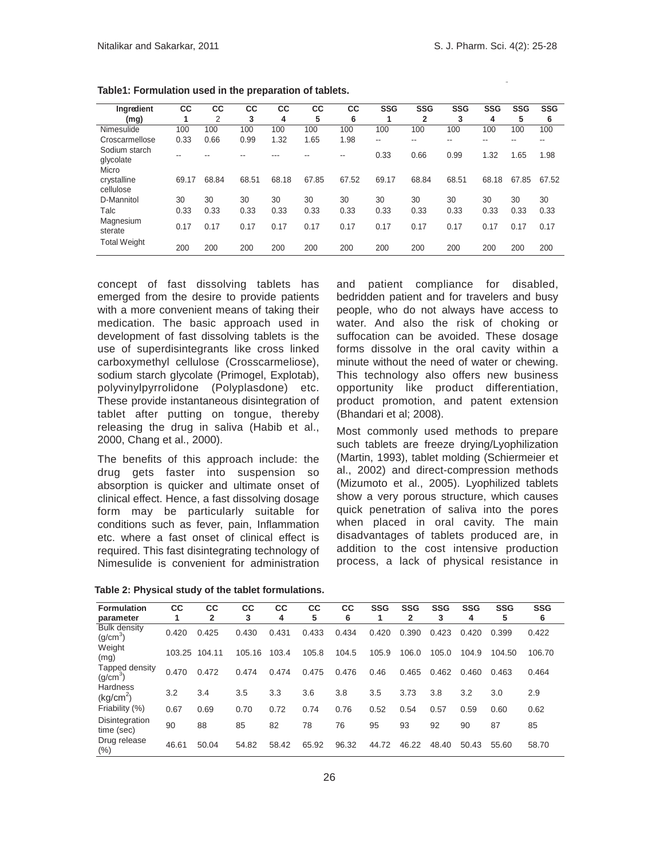| Ingredient                          | СC    | СC    | СC    | CС    | CС    | СC    | <b>SSG</b> | <b>SSG</b>     | <b>SSG</b> | <b>SSG</b> | <b>SSG</b> | <b>SSG</b> |
|-------------------------------------|-------|-------|-------|-------|-------|-------|------------|----------------|------------|------------|------------|------------|
| (mg)                                |       | 2     | 3     | 4     | 5     | 6     |            | $\overline{2}$ | 3          | 4          | 5          | 6          |
| Nimesulide                          | 100   | 100   | 100   | 100   | 100   | 100   | 100        | 100            | 100        | 100        | 100        | 100        |
| Croscarmellose                      | 0.33  | 0.66  | 0.99  | 1.32  | 1.65  | 1.98  | --         | --             | --         | --         | --         | --         |
| Sodium starch<br>glycolate<br>Micro |       |       |       | ---   |       | --    | 0.33       | 0.66           | 0.99       | 1.32       | 1.65       | 1.98       |
| crystalline<br>cellulose            | 69.17 | 68.84 | 68.51 | 68.18 | 67.85 | 67.52 | 69.17      | 68.84          | 68.51      | 68.18      | 67.85      | 67.52      |
| D-Mannitol                          | 30    | 30    | 30    | 30    | 30    | 30    | 30         | 30             | 30         | 30         | 30         | 30         |
| Talc                                | 0.33  | 0.33  | 0.33  | 0.33  | 0.33  | 0.33  | 0.33       | 0.33           | 0.33       | 0.33       | 0.33       | 0.33       |
| Magnesium<br>sterate                | 0.17  | 0.17  | 0.17  | 0.17  | 0.17  | 0.17  | 0.17       | 0.17           | 0.17       | 0.17       | 0.17       | 0.17       |
| <b>Total Weight</b>                 | 200   | 200   | 200   | 200   | 200   | 200   | 200        | 200            | 200        | 200        | 200        | 200        |

**Table1: Formulation used in the preparation of tablets.** 

concept of fast dissolving tablets has emerged from the desire to provide patients with a more convenient means of taking their medication. The basic approach used in development of fast dissolving tablets is the use of superdisintegrants like cross linked carboxymethyl cellulose (Crosscarmeliose), sodium starch glycolate (Primogel, Explotab), polyvinylpyrrolidone (Polyplasdone) etc. These provide instantaneous disintegration of tablet after putting on tongue, thereby releasing the drug in saliva (Habib et al., 2000, Chang et al., 2000).

The benefits of this approach include: the drug gets faster into suspension so absorption is quicker and ultimate onset of clinical effect. Hence, a fast dissolving dosage form may be particularly suitable for conditions such as fever, pain, Inflammation etc. where a fast onset of clinical effect is required. This fast disintegrating technology of Nimesulide is convenient for administration

and patient compliance for disabled, bedridden patient and for travelers and busy people, who do not always have access to water. And also the risk of choking or suffocation can be avoided. These dosage forms dissolve in the oral cavity within a minute without the need of water or chewing. This technology also offers new business opportunity like product differentiation, product promotion, and patent extension (Bhandari et al; 2008).

Most commonly used methods to prepare such tablets are freeze drying/Lyophilization (Martin, 1993), tablet molding (Schiermeier et al., 2002) and direct-compression methods (Mizumoto et al., 2005). Lyophilized tablets show a very porous structure, which causes quick penetration of saliva into the pores when placed in oral cavity. The main disadvantages of tablets produced are, in addition to the cost intensive production process, a lack of physical resistance in

| Table 2: Physical study of the tablet formulations. |  |  |  |
|-----------------------------------------------------|--|--|--|
|-----------------------------------------------------|--|--|--|

| <b>Formulation</b><br>parameter             | СC     | CС<br>2 | СC<br>3 | СC<br>4 | СC<br>5 | СC<br>6 | <b>SSG</b> | <b>SSG</b><br>$\mathbf{2}$ | <b>SSG</b><br>3 | <b>SSG</b><br>4 | <b>SSG</b><br>5 | <b>SSG</b><br>6 |
|---------------------------------------------|--------|---------|---------|---------|---------|---------|------------|----------------------------|-----------------|-----------------|-----------------|-----------------|
| <b>Bulk density</b><br>(g/cm <sup>3</sup> ) | 0.420  | 0.425   | 0.430   | 0.431   | 0.433   | 0.434   | 0.420      | 0.390                      | 0.423           | 0.420           | 0.399           | 0.422           |
| Weight<br>(mg)                              | 103.25 | 104.11  | 105.16  | 103.4   | 105.8   | 104.5   | 105.9      | 106.0                      | 105.0           | 104.9           | 104.50          | 106.70          |
| Tapped density<br>(g/cm <sup>3</sup> )      | 0.470  | 0.472   | 0.474   | 0.474   | 0.475   | 0.476   | 0.46       | 0.465                      | 0.462           | 0.460           | 0.463           | 0.464           |
| Hardness<br>(kq/cm <sup>2</sup> )           | 3.2    | 3.4     | 3.5     | 3.3     | 3.6     | 3.8     | 3.5        | 3.73                       | 3.8             | 3.2             | 3.0             | 2.9             |
| Friability (%)                              | 0.67   | 0.69    | 0.70    | 0.72    | 0.74    | 0.76    | 0.52       | 0.54                       | 0.57            | 0.59            | 0.60            | 0.62            |
| Disintegration<br>time (sec)                | 90     | 88      | 85      | 82      | 78      | 76      | 95         | 93                         | 92              | 90              | 87              | 85              |
| Drug release<br>(%)                         | 46.61  | 50.04   | 54.82   | 58.42   | 65.92   | 96.32   | 44.72      | 46.22                      | 48.40           | 50.43           | 55.60           | 58.70           |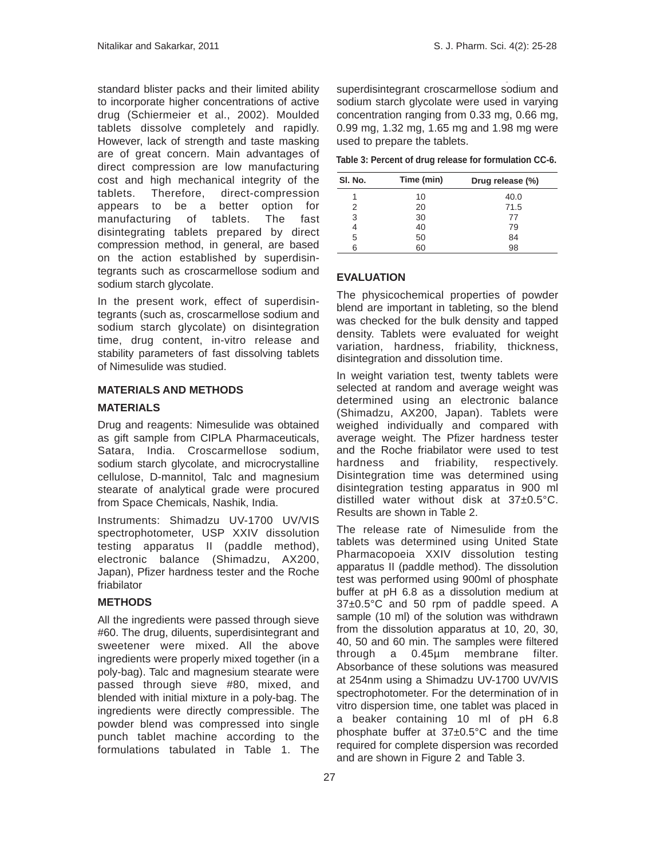standard blister packs and their limited ability to incorporate higher concentrations of active drug (Schiermeier et al., 2002). Moulded tablets dissolve completely and rapidly. However, lack of strength and taste masking are of great concern. Main advantages of direct compression are low manufacturing cost and high mechanical integrity of the tablets. Therefore, direct-compression appears to be a better option for manufacturing of tablets. The fast disintegrating tablets prepared by direct compression method, in general, are based on the action established by superdisintegrants such as croscarmellose sodium and sodium starch glycolate.

In the present work, effect of superdisintegrants (such as, croscarmellose sodium and sodium starch glycolate) on disintegration time, drug content, in-vitro release and stability parameters of fast dissolving tablets of Nimesulide was studied.

# **MATERIALS AND METHODS MATERIALS**

Drug and reagents: Nimesulide was obtained as gift sample from CIPLA Pharmaceuticals, Satara, India. Croscarmellose sodium, sodium starch glycolate, and microcrystalline cellulose, D-mannitol, Talc and magnesium stearate of analytical grade were procured from Space Chemicals, Nashik, India.

Instruments: Shimadzu UV-1700 UV/VIS spectrophotometer, USP XXIV dissolution testing apparatus II (paddle method), electronic balance (Shimadzu, AX200, Japan), Pfizer hardness tester and the Roche friabilator

# **METHODS**

All the ingredients were passed through sieve #60. The drug, diluents, superdisintegrant and sweetener were mixed. All the above ingredients were properly mixed together (in a poly-bag). Talc and magnesium stearate were passed through sieve #80, mixed, and blended with initial mixture in a poly-bag. The ingredients were directly compressible. The powder blend was compressed into single punch tablet machine according to the formulations tabulated in Table 1. The

superdisintegrant croscarmellose sodium and sodium starch glycolate were used in varying concentration ranging from 0.33 mg, 0.66 mg, 0.99 mg, 1.32 mg, 1.65 mg and 1.98 mg were used to prepare the tablets.

 **Table 3: Percent of drug release for formulation CC-6.**

| SI. No. | Time (min) | Drug release (%) |
|---------|------------|------------------|
|         | 10         | 40.0             |
| 2       | 20         | 71.5             |
| 3       | 30         | 77               |
|         | 40         | 79               |
| 5       | 50         | 84               |
| հ       | 60         | 98               |

### **EVALUATION**

The physicochemical properties of powder blend are important in tableting, so the blend was checked for the bulk density and tapped density. Tablets were evaluated for weight variation, hardness, friability, thickness, disintegration and dissolution time.

In weight variation test, twenty tablets were selected at random and average weight was determined using an electronic balance (Shimadzu, AX200, Japan). Tablets were weighed individually and compared with average weight. The Pfizer hardness tester and the Roche friabilator were used to test hardness and friability, respectively. Disintegration time was determined using disintegration testing apparatus in 900 ml distilled water without disk at 37±0.5°C. Results are shown in Table 2.

The release rate of Nimesulide from the tablets was determined using United State Pharmacopoeia XXIV dissolution testing apparatus II (paddle method). The dissolution test was performed using 900ml of phosphate buffer at pH 6.8 as a dissolution medium at 37±0.5°C and 50 rpm of paddle speed. A sample (10 ml) of the solution was withdrawn from the dissolution apparatus at 10, 20, 30, 40, 50 and 60 min. The samples were filtered through a 0.45µm membrane filter. Absorbance of these solutions was measured at 254nm using a Shimadzu UV-1700 UV/VIS spectrophotometer. For the determination of in vitro dispersion time, one tablet was placed in a beaker containing 10 ml of pH 6.8 phosphate buffer at 37±0.5°C and the time required for complete dispersion was recorded and are shown in Figure 2 and Table 3.